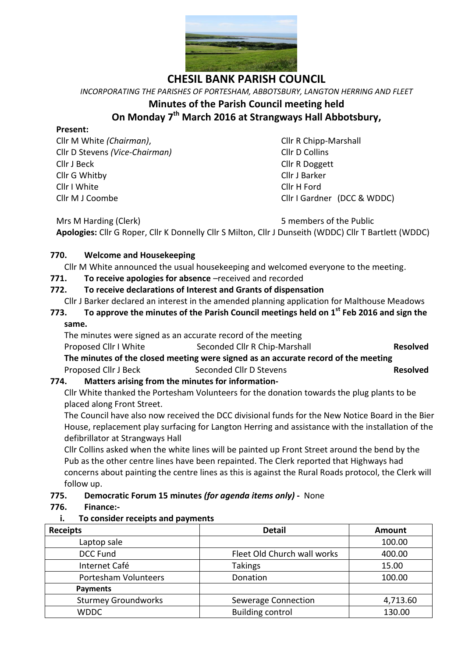

*INCORPORATING THE PARISHES OF PORTESHAM, ABBOTSBURY, LANGTON HERRING AND FLEET* **Minutes of the Parish Council meeting held On Monday 7 th March 2016 at Strangways Hall Abbotsbury,**

#### **Present:**

Cllr M White *(Chairman)*, Cllr R Chipp-Marshall Cllr D Stevens *(Vice-Chairman)* Cllr D Collins Cllr J Beck Cllr R Doggett Cllr G Whitby Cllr J Barker Cllr I White Cllr H Ford Cllr M J Coombe Cllr I Gardner (DCC & WDDC)

Mrs M Harding (Clerk) 6 members of the Public **Apologies:** Cllr G Roper, Cllr K Donnelly Cllr S Milton, Cllr J Dunseith (WDDC) Cllr T Bartlett (WDDC)

### **770. Welcome and Housekeeping**

Cllr M White announced the usual housekeeping and welcomed everyone to the meeting.

### **771. To receive apologies for absence** –received and recorded

### **772. To receive declarations of Interest and Grants of dispensation**

- Cllr J Barker declared an interest in the amended planning application for Malthouse Meadows
- **773. To approve the minutes of the Parish Council meetings held on 1st Feb 2016 and sign the same.**

#### The minutes were signed as an accurate record of the meeting

Proposed Cllr I White Seconded Cllr R Chip-Marshall **Resolved The minutes of the closed meeting were signed as an accurate record of the meeting**

Proposed Cllr J Beck Seconded Cllr D Stevens **Resolved**

## **774. Matters arising from the minutes for information-**

Cllr White thanked the Portesham Volunteers for the donation towards the plug plants to be placed along Front Street.

The Council have also now received the DCC divisional funds for the New Notice Board in the Bier House, replacement play surfacing for Langton Herring and assistance with the installation of the defibrillator at Strangways Hall

Cllr Collins asked when the white lines will be painted up Front Street around the bend by the Pub as the other centre lines have been repainted. The Clerk reported that Highways had concerns about painting the centre lines as this is against the Rural Roads protocol, the Clerk will follow up.

### **775. Democratic Forum 15 minutes** *(for agenda items only)* **-** None

### **776. Finance:-**

### **i. To consider receipts and payments**

| <b>Receipts</b>            | <b>Detail</b>               | Amount   |
|----------------------------|-----------------------------|----------|
| Laptop sale                |                             | 100.00   |
| <b>DCC Fund</b>            | Fleet Old Church wall works | 400.00   |
| Internet Café              | <b>Takings</b>              | 15.00    |
| Portesham Volunteers       | Donation                    | 100.00   |
| <b>Payments</b>            |                             |          |
| <b>Sturmey Groundworks</b> | <b>Sewerage Connection</b>  | 4,713.60 |
| <b>WDDC</b>                | <b>Building control</b>     | 130.00   |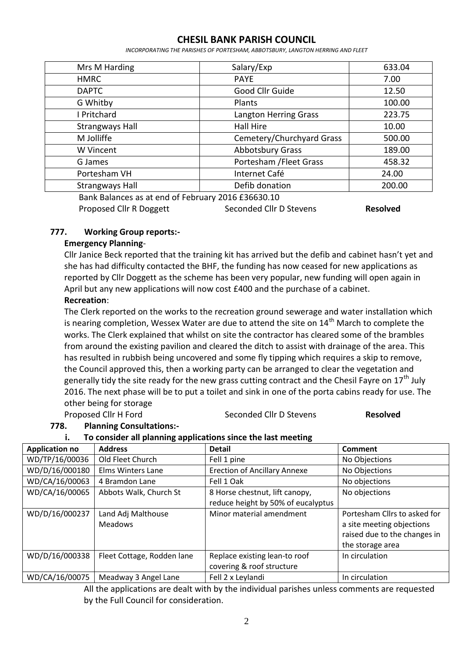*INCORPORATING THE PARISHES OF PORTESHAM, ABBOTSBURY, LANGTON HERRING AND FLEET*

| Mrs M Harding                                      | Salary/Exp                   | 633.04 |
|----------------------------------------------------|------------------------------|--------|
| <b>HMRC</b>                                        | <b>PAYE</b>                  | 7.00   |
| <b>DAPTC</b>                                       | Good Cllr Guide              | 12.50  |
| G Whitby                                           | Plants                       | 100.00 |
| I Pritchard                                        | <b>Langton Herring Grass</b> | 223.75 |
| <b>Strangways Hall</b>                             | Hall Hire                    | 10.00  |
| M Jolliffe                                         | Cemetery/Churchyard Grass    | 500.00 |
| W Vincent                                          | <b>Abbotsbury Grass</b>      | 189.00 |
| G James                                            | Portesham / Fleet Grass      | 458.32 |
| Portesham VH                                       | Internet Café                | 24.00  |
| <b>Strangways Hall</b>                             | Defib donation               | 200.00 |
| Bank Balances as at end of February 2016 £36630.10 |                              |        |

Proposed Cllr R Doggett Seconded Cllr D Stevens **Resolved** 

#### **777. Working Group reports:-**

#### **Emergency Planning**-

Cllr Janice Beck reported that the training kit has arrived but the defib and cabinet hasn't yet and she has had difficulty contacted the BHF, the funding has now ceased for new applications as reported by Cllr Doggett as the scheme has been very popular, new funding will open again in April but any new applications will now cost £400 and the purchase of a cabinet.

### **Recreation**:

The Clerk reported on the works to the recreation ground sewerage and water installation which is nearing completion, Wessex Water are due to attend the site on  $14<sup>th</sup>$  March to complete the works. The Clerk explained that whilst on site the contractor has cleared some of the brambles from around the existing pavilion and cleared the ditch to assist with drainage of the area. This has resulted in rubbish being uncovered and some fly tipping which requires a skip to remove, the Council approved this, then a working party can be arranged to clear the vegetation and generally tidy the site ready for the new grass cutting contract and the Chesil Fayre on  $17<sup>th</sup>$  July 2016. The next phase will be to put a toilet and sink in one of the porta cabins ready for use. The other being for storage

#### Proposed Cllr H Ford Seconded Cllr D Stevens **Resolved**

#### **778. Planning Consultations:-**

#### **i. To consider all planning applications since the last meeting**

| <b>Application no</b> | <b>Address</b>                       | <b>Detail</b>                                              | <b>Comment</b>                                                                                                |
|-----------------------|--------------------------------------|------------------------------------------------------------|---------------------------------------------------------------------------------------------------------------|
| WD/TP/16/00036        | Old Fleet Church                     | Fell 1 pine                                                | No Objections                                                                                                 |
| WD/D/16/000180        | Elms Winters Lane                    | <b>Erection of Ancillary Annexe</b>                        | No Objections                                                                                                 |
| WD/CA/16/00063        | 4 Bramdon Lane                       | Fell 1 Oak                                                 | No objections                                                                                                 |
| WD/CA/16/00065        | Abbots Walk, Church St               | 8 Horse chestnut, lift canopy,                             | No objections                                                                                                 |
|                       |                                      | reduce height by 50% of eucalyptus                         |                                                                                                               |
| WD/D/16/000237        | Land Adj Malthouse<br><b>Meadows</b> | Minor material amendment                                   | Portesham Cllrs to asked for<br>a site meeting objections<br>raised due to the changes in<br>the storage area |
| WD/D/16/000338        | Fleet Cottage, Rodden lane           | Replace existing lean-to roof<br>covering & roof structure | In circulation                                                                                                |
| WD/CA/16/00075        | Meadway 3 Angel Lane                 | Fell 2 x Leylandi                                          | In circulation                                                                                                |

All the applications are dealt with by the individual parishes unless comments are requested by the Full Council for consideration.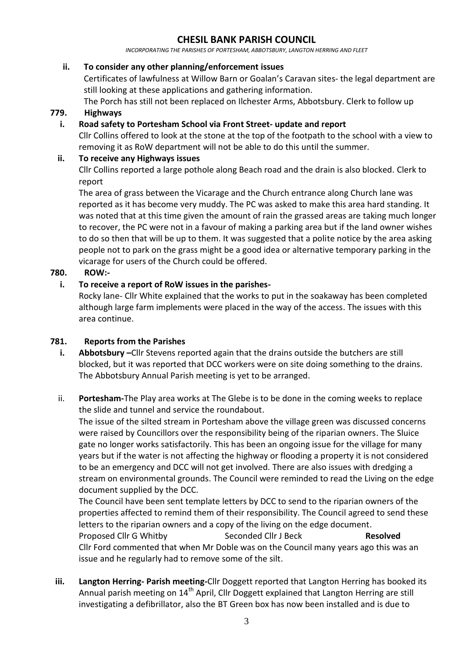*INCORPORATING THE PARISHES OF PORTESHAM, ABBOTSBURY, LANGTON HERRING AND FLEET*

#### **ii. To consider any other planning/enforcement issues**

Certificates of lawfulness at Willow Barn or Goalan's Caravan sites- the legal department are still looking at these applications and gathering information.

The Porch has still not been replaced on Ilchester Arms, Abbotsbury. Clerk to follow up

#### **779. Highways**

#### **i. Road safety to Portesham School via Front Street- update and report**

Cllr Collins offered to look at the stone at the top of the footpath to the school with a view to removing it as RoW department will not be able to do this until the summer.

#### **ii. To receive any Highways issues**

Cllr Collins reported a large pothole along Beach road and the drain is also blocked. Clerk to report

The area of grass between the Vicarage and the Church entrance along Church lane was reported as it has become very muddy. The PC was asked to make this area hard standing. It was noted that at this time given the amount of rain the grassed areas are taking much longer to recover, the PC were not in a favour of making a parking area but if the land owner wishes to do so then that will be up to them. It was suggested that a polite notice by the area asking people not to park on the grass might be a good idea or alternative temporary parking in the vicarage for users of the Church could be offered.

### **780. ROW:-**

### **i. To receive a report of RoW issues in the parishes-**

Rocky lane- Cllr White explained that the works to put in the soakaway has been completed although large farm implements were placed in the way of the access. The issues with this area continue.

#### **781. Reports from the Parishes**

- **i. Abbotsbury –**Cllr Stevens reported again that the drains outside the butchers are still blocked, but it was reported that DCC workers were on site doing something to the drains. The Abbotsbury Annual Parish meeting is yet to be arranged.
- ii. **Portesham-**The Play area works at The Glebe is to be done in the coming weeks to replace the slide and tunnel and service the roundabout.

The issue of the silted stream in Portesham above the village green was discussed concerns were raised by Councillors over the responsibility being of the riparian owners. The Sluice gate no longer works satisfactorily. This has been an ongoing issue for the village for many years but if the water is not affecting the highway or flooding a property it is not considered to be an emergency and DCC will not get involved. There are also issues with dredging a stream on environmental grounds. The Council were reminded to read the Living on the edge document supplied by the DCC.

The Council have been sent template letters by DCC to send to the riparian owners of the properties affected to remind them of their responsibility. The Council agreed to send these letters to the riparian owners and a copy of the living on the edge document.

Proposed Cllr G Whitby Seconded Cllr J Beck **Resolved** Cllr Ford commented that when Mr Doble was on the Council many years ago this was an issue and he regularly had to remove some of the silt.

**iii. Langton Herring- Parish meeting-**Cllr Doggett reported that Langton Herring has booked its Annual parish meeting on  $14<sup>th</sup>$  April, Cllr Doggett explained that Langton Herring are still investigating a defibrillator, also the BT Green box has now been installed and is due to